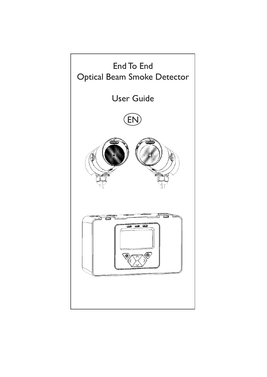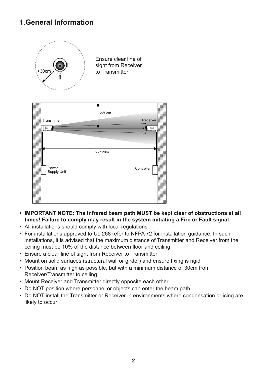## **1.General Information**



Ensure clear line of sight from Receiver to Transmitter



- **IMPORTANT NOTE: The infrared beam path MUST be kept clear of obstructions at all times! Failure to comply may result in the system initiating a Fire or Fault signal.**
- All installations should comply with local regulations
- For installations approved to UL 268 refer to NFPA 72 for installation guidance. In such installations, it is advised that the maximum distance of Transmitter and Receiver from the ceiling must be 10% of the distance between floor and ceiling
- Ensure a clear line of sight from Receiver to Transmitter
- Mount on solid surfaces (structural wall or girder) and ensure fixing is rigid
- Position beam as high as possible, but with a minimum distance of 30cm from Receiver/Transmitter to ceiling
- Mount Receiver and Transmitter directly opposite each other
- Do NOT position where personnel or objects can enter the beam path
- Do NOT install the Transmitter or Receiver in environments where condensation or icing are likely to occur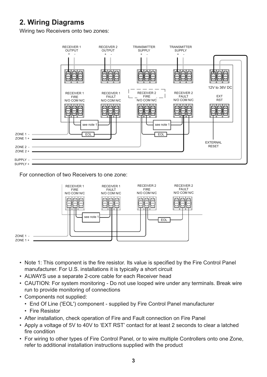## **2. Wiring Diagrams**

Wiring two Receivers onto two zones:



For connection of two Receivers to one zone:



- Note 1: This component is the fire resistor. Its value is specified by the Fire Control Panel manufacturer. For U.S. installations it is typically a short circuit
- ALWAYS use a separate 2-core cable for each Receiver head
- CAUTION: For system monitoring Do not use looped wire under any terminals. Break wire run to provide monitoring of connections
- Components not supplied:
	- End Of Line ('EOL') component supplied by Fire Control Panel manufacturer
	- Fire Resistor
- After installation, check operation of Fire and Fault connection on Fire Panel
- Apply a voltage of 5V to 40V to 'EXT RST' contact for at least 2 seconds to clear a latched fire condition
- For wiring to other types of Fire Control Panel, or to wire multiple Controllers onto one Zone, refer to additional installation instructions supplied with the product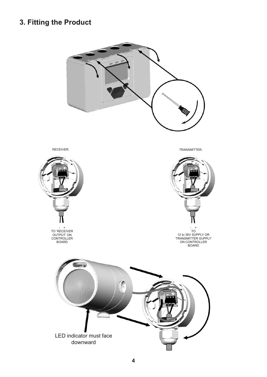## **3. Fitting the Product**



LED indicator must face downward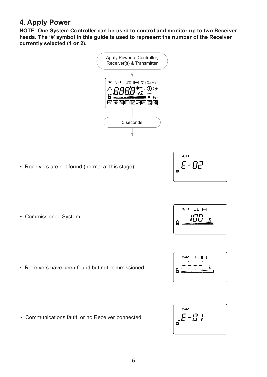### **4. Apply Power**

**NOTE: One System Controller can be used to control and monitor up to two Receiver heads. The '#' symbol in this guide is used to represent the number of the Receiver currently selected (1 or 2).**



• Receivers are not found (normal at this stage):



• Commissioned System:

• Receivers have been found but not commissioned:

• Communications fault, or no Receiver connected:

$$
\left[\begin{array}{c}\n\begin{array}{ccc}\n\sqrt{2} & \mathbf{1} & \mathbf{1} & \mathbf{1} & \mathbf{1} \\
\mathbf{1} & \mathbf{1} & \mathbf{1} & \mathbf{1} \\
\mathbf{1} & \mathbf{1} & \mathbf{1} & \mathbf{1} \\
\mathbf{1} & \mathbf{1} & \mathbf{1} & \mathbf{1} \\
\mathbf{1} & \mathbf{1} & \mathbf{1} & \mathbf{1} \\
\mathbf{1} & \mathbf{1} & \mathbf{1} & \mathbf{1} \\
\mathbf{1} & \mathbf{1} & \mathbf{1} & \mathbf{1} \\
\mathbf{1} & \mathbf{1} & \mathbf{1} & \mathbf{1} \\
\mathbf{1} & \mathbf{1} & \mathbf{1} & \mathbf{1} \\
\mathbf{1} & \mathbf{1} & \mathbf{1} & \mathbf{1} \\
\mathbf{1} & \mathbf{1} & \mathbf{1} & \mathbf{1} \\
\mathbf{1} & \mathbf{1} & \mathbf{1} & \mathbf{1} \\
\mathbf{1} & \mathbf{1} & \mathbf{1} & \mathbf{1} \\
\mathbf{1} & \mathbf{1} & \mathbf{1} & \mathbf{1} \\
\mathbf{1} & \mathbf{1} & \mathbf{1} & \mathbf{1} \\
\mathbf{1} & \mathbf{1} & \mathbf{1} & \mathbf{1} \\
\mathbf{1} & \mathbf{1} & \mathbf{1} & \mathbf{1} \\
\mathbf{1} & \mathbf{1} & \mathbf{1} & \mathbf{1} \\
\mathbf{1} & \mathbf{1} & \mathbf{1} & \mathbf{1} \\
\mathbf{1} & \mathbf{1} & \mathbf{1} & \mathbf{1} \\
\mathbf{1} & \mathbf{1} & \mathbf{1} & \mathbf{1} \\
\mathbf{1} & \mathbf{1} & \mathbf{1} & \mathbf{1} \\
\mathbf{1} & \mathbf{1} & \mathbf{1} & \mathbf{1} \\
\mathbf{1} & \mathbf{1} & \mathbf{1} & \mathbf{1} \\
\mathbf{1} & \mathbf{1} & \mathbf{1} & \mathbf{1} \\
\mathbf{1} & \mathbf{1} & \mathbf{1} & \mathbf{1} \\
\mathbf{1} & \
$$



$$
\int_{\mathbf{a}^n} \mathbf{E} - \mathbf{B} \mathbf{I}
$$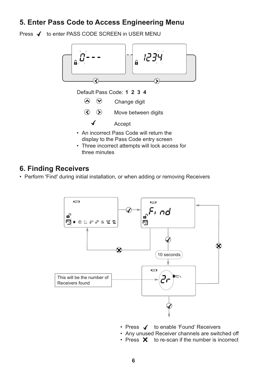### **5. Enter Pass Code to Access Engineering Menu**

Press √ to enter PASS CODE SCREEN in USER MENU



Default Pass Code: **1 2 3 4**

 $\odot$   $\odot$ Change digit

 $\odot$   $\odot$ Move between digits

Accept

- An incorrect Pass Code will return the display to the Pass Code entry screen
- Three incorrect attempts will lock access for three minutes

#### **6. Finding Receivers**

• Perform 'Find' during initial installation, or when adding or removing Receivers



- Press  $\blacklozenge$  to enable 'Found' Receivers
- Any unused Receiver channels are switched off
- Press  $\mathsf{\times}$  to re-scan if the number is incorrect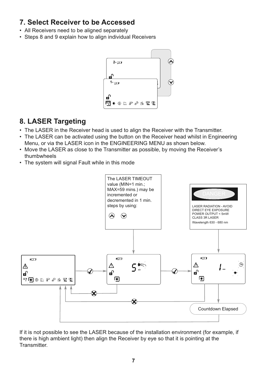### **7. Select Receiver to be Accessed**

- All Receivers need to be aligned separately
- Steps 8 and 9 explain how to align individual Receivers



#### **8. LASER Targeting**

- The LASER in the Receiver head is used to align the Receiver with the Transmitter.
- The LASER can be activated using the button on the Receiver head whilst in Engineering Menu, or via the LASER icon in the ENGINEERING MENU as shown below.
- Move the LASER as close to the Transmitter as possible, by moving the Receiver's thumbwheels
- The system will signal Fault while in this mode



If it is not possible to see the LASER because of the installation environment (for example, if there is high ambient light) then align the Receiver by eye so that it is pointing at the Transmitter.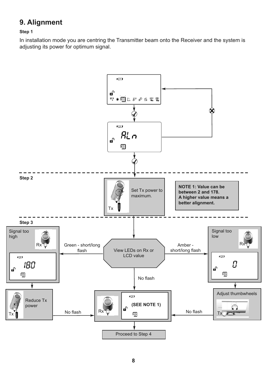## **9. Alignment**

#### **Step 1**

In installation mode you are centring the Transmitter beam onto the Receiver and the system is adjusting its power for optimum signal.

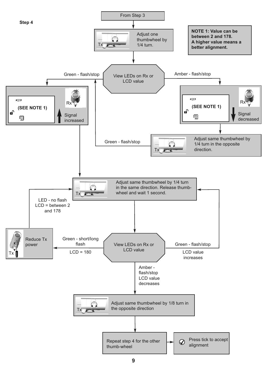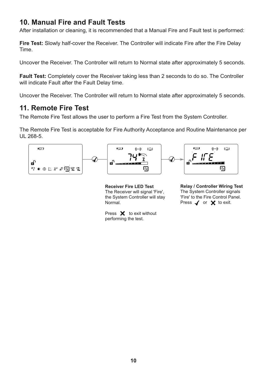### **10. Manual Fire and Fault Tests**

After installation or cleaning, it is recommended that a Manual Fire and Fault test is performed:

**Fire Test:** Slowly half-cover the Receiver. The Controller will indicate Fire after the Fire Delay Time.

Uncover the Receiver. The Controller will return to Normal state after approximately 5 seconds.

**Fault Test:** Completely cover the Receiver taking less than 2 seconds to do so. The Controller will indicate Fault after the Fault Delay time.

Uncover the Receiver. The Controller will return to Normal state after approximately 5 seconds.

### **11. Remote Fire Test**

The Remote Fire Test allows the user to perform a Fire Test from the System Controller.

The Remote Fire Test is acceptable for Fire Authority Acceptance and Routine Maintenance per UL 268-5.



**Receiver Fire LED Test** The Receiver will signal 'Fire', the System Controller will stay Normal.

Press  $\mathsf{\times}$  to exit without performing the test.

**Relay / Controller Wiring Test** The System Controller signals 'Fire' to the Fire Control Panel. Press  $\blacktriangledown$  or  $\blacktriangledown$  to exit.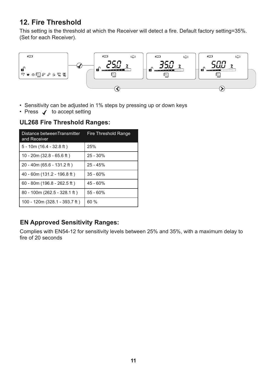## **12. Fire Threshold**

This setting is the threshold at which the Receiver will detect a fire. Default factory setting=35%. (Set for each Receiver).



- Sensitivity can be adjusted in 1% steps by pressing up or down keys
- Press  $\checkmark$  to accept setting

#### **UL268 Fire Threshold Ranges:**

| Distance betweenTransmitter<br>and Receiver | Fire Threshold Range |  |  |
|---------------------------------------------|----------------------|--|--|
| $5 - 10m(16.4 - 32.8 ft)$                   | 25%                  |  |  |
| 10 - 20m $(32.8 - 65.6$ ft)                 | $25 - 30%$           |  |  |
| 20 - 40m (65.6 - 131.2 ft)                  | $25 - 45%$           |  |  |
| 40 - 60m (131.2 - 196.8 ft)                 | $35 - 60%$           |  |  |
| $60 - 80$ m (196.8 - 262.5 ft)              | $45 - 60%$           |  |  |
| 80 - 100m (262.5 - 328.1 ft)                | $55 - 60%$           |  |  |
| 100 - 120m (328.1 - 393.7 ft)               | 60%                  |  |  |

#### **EN Approved Sensitivity Ranges:**

Complies with EN54-12 for sensitivity levels between 25% and 35%, with a maximum delay to fire of 20 seconds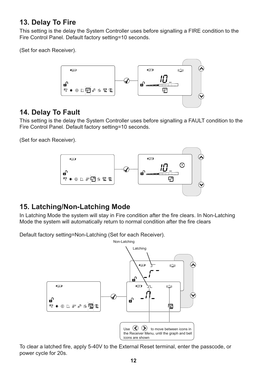### **13. Delay To Fire**

This setting is the delay the System Controller uses before signalling a FIRE condition to the Fire Control Panel. Default factory setting=10 seconds.

(Set for each Receiver).



### **14. Delay To Fault**

This setting is the delay the System Controller uses before signalling a FAULT condition to the Fire Control Panel. Default factory setting=10 seconds.

(Set for each Receiver).



## **15. Latching/Non-Latching Mode**

In Latching Mode the system will stay in Fire condition after the fire clears. In Non-Latching Mode the system will automatically return to normal condition after the fire clears

Default factory setting=Non-Latching (Set for each Receiver).



To clear a latched fire, apply 5-40V to the External Reset terminal, enter the passcode, or power cycle for 20s.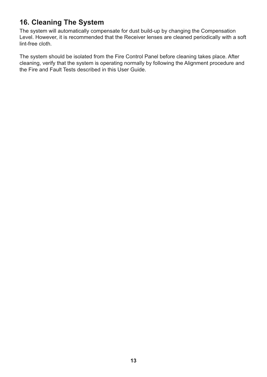## **16. Cleaning The System**

The system will automatically compensate for dust build-up by changing the Compensation Level. However, it is recommended that the Receiver lenses are cleaned periodically with a soft lint-free cloth.

The system should be isolated from the Fire Control Panel before cleaning takes place. After cleaning, verify that the system is operating normally by following the Alignment procedure and the Fire and Fault Tests described in this User Guide.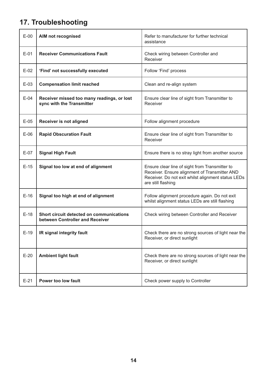# **17. Troubleshooting**

| $E-00$ | AIM not recognised                                                          | Refer to manufacturer for further technical<br>assistance                                                                                                                   |  |  |  |
|--------|-----------------------------------------------------------------------------|-----------------------------------------------------------------------------------------------------------------------------------------------------------------------------|--|--|--|
| $E-01$ | <b>Receiver Communications Fault</b>                                        | Check wiring between Controller and<br>Receiver                                                                                                                             |  |  |  |
| $E-02$ | 'Find' not successfully executed                                            | Follow 'Find' process                                                                                                                                                       |  |  |  |
| $E-03$ | <b>Compensation limit reached</b>                                           | Clean and re-align system                                                                                                                                                   |  |  |  |
| $E-04$ | Receiver missed too many readings, or lost<br>sync with the Transmitter     | Ensure clear line of sight from Transmitter to<br>Receiver                                                                                                                  |  |  |  |
| $E-05$ | <b>Receiver is not aligned</b>                                              | Follow alignment procedure                                                                                                                                                  |  |  |  |
| $E-06$ | <b>Rapid Obscuration Fault</b>                                              | Ensure clear line of sight from Transmitter to<br>Receiver                                                                                                                  |  |  |  |
| $E-07$ | <b>Signal High Fault</b>                                                    | Ensure there is no stray light from another source                                                                                                                          |  |  |  |
| $E-15$ | Signal too low at end of alignment                                          | Ensure clear line of sight from Transmitter to<br>Receiver. Ensure alignment of Transmitter AND<br>Receiver. Do not exit whilst alignment status LEDs<br>are still flashing |  |  |  |
| $E-16$ | Signal too high at end of alignment                                         | Follow alignment procedure again. Do not exit<br>whilst alignment status LEDs are still flashing                                                                            |  |  |  |
| $E-18$ | Short circuit detected on communications<br>between Controller and Receiver | Check wiring between Controller and Receiver                                                                                                                                |  |  |  |
| $E-19$ | IR signal integrity fault                                                   | Check there are no strong sources of light near the<br>Receiver, or direct sunlight                                                                                         |  |  |  |
| $E-20$ | <b>Ambient light fault</b>                                                  | Check there are no strong sources of light near the<br>Receiver, or direct sunlight                                                                                         |  |  |  |
| $E-21$ | <b>Power too low fault</b>                                                  | Check power supply to Controller                                                                                                                                            |  |  |  |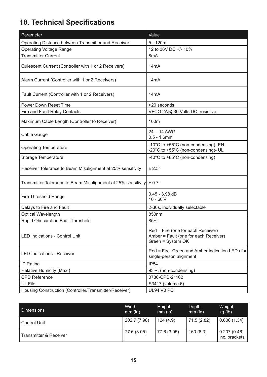# **18. Technical Specifications**

| Parameter                                                                | Value                                                                                            |  |  |
|--------------------------------------------------------------------------|--------------------------------------------------------------------------------------------------|--|--|
| Operating Distance between Transmitter and Receiver                      | $5 - 120m$                                                                                       |  |  |
| <b>Operating Voltage Range</b>                                           | 12 to 36V DC +/- 10%                                                                             |  |  |
| <b>Transmitter Current</b>                                               | 8mA                                                                                              |  |  |
| Quiescent Current (Controller with 1 or 2 Receivers)                     | 14mA                                                                                             |  |  |
| Alarm Current (Controller with 1 or 2 Receivers)                         | 14 <sub>m</sub> A                                                                                |  |  |
| Fault Current (Controller with 1 or 2 Receivers)                         | 14 <sub>m</sub> A                                                                                |  |  |
| <b>Power Down Reset Time</b>                                             | >20 seconds                                                                                      |  |  |
| Fire and Fault Relay Contacts                                            | VFCO 2A@ 30 Volts DC, resistive                                                                  |  |  |
| Maximum Cable Length (Controller to Receiver)                            | 100m                                                                                             |  |  |
| Cable Gauge                                                              | 24 - 14 AWG<br>$0.5 - 1.6$ mm                                                                    |  |  |
| <b>Operating Temperature</b>                                             | -10°C to +55°C (non-condensing)- EN<br>-20°C to +55°C (non-condensing)- UL                       |  |  |
| Storage Temperature                                                      | -40°C to +85°C (non-condensing)                                                                  |  |  |
| Receiver Tolerance to Beam Misalignment at 25% sensitivity               | $± 2.5^\circ$                                                                                    |  |  |
| Transmitter Tolerance to Beam Misalignment at 25% sensitivity $\pm$ 0.7° |                                                                                                  |  |  |
| Fire Threshold Range                                                     | $0.45 - 3.98$ dB<br>$10 - 60%$                                                                   |  |  |
| Delays to Fire and Fault                                                 | 2-30s, individually selectable                                                                   |  |  |
| Optical Wavelength                                                       | 850nm                                                                                            |  |  |
| Rapid Obscuration Fault Threshold                                        | 85%                                                                                              |  |  |
| <b>LED Indications - Control Unit</b>                                    | Red = Fire (one for each Receiver)<br>Amber = Fault (one for each Receiver)<br>Green = System OK |  |  |
| <b>LED Indications - Receiver</b>                                        | Red = Fire. Green and Amber indication LEDs for<br>single-person alignment                       |  |  |
| <b>IP Rating</b>                                                         | <b>IP54</b>                                                                                      |  |  |
| Relative Humidity (Max.)                                                 | 93%, (non-condensing)                                                                            |  |  |
| <b>CPD Reference</b>                                                     | 0786-CPD-21162                                                                                   |  |  |
| UL File                                                                  | S3417 (volume 6)                                                                                 |  |  |
| Housing Construction (Controller/Transmitter/Receiver)                   | UL94 V0 PC                                                                                       |  |  |

| <b>Dimensions</b>      | Width,<br>$mm$ (in) | Height,<br>$mm$ (in) | Depth,<br>$mm$ (in) | Weight,<br>kg (lb)           |
|------------------------|---------------------|----------------------|---------------------|------------------------------|
| <b>Control Unit</b>    | 202.7 (7.98)        | 124(4.9)             | 71.5 (2.82)         | 0.606(1.34)                  |
| Transmitter & Receiver | 77.6 (3.05)         | 77.6(3.05)           | 160(6.3)            | 0.207(0.46)<br>inc. brackets |